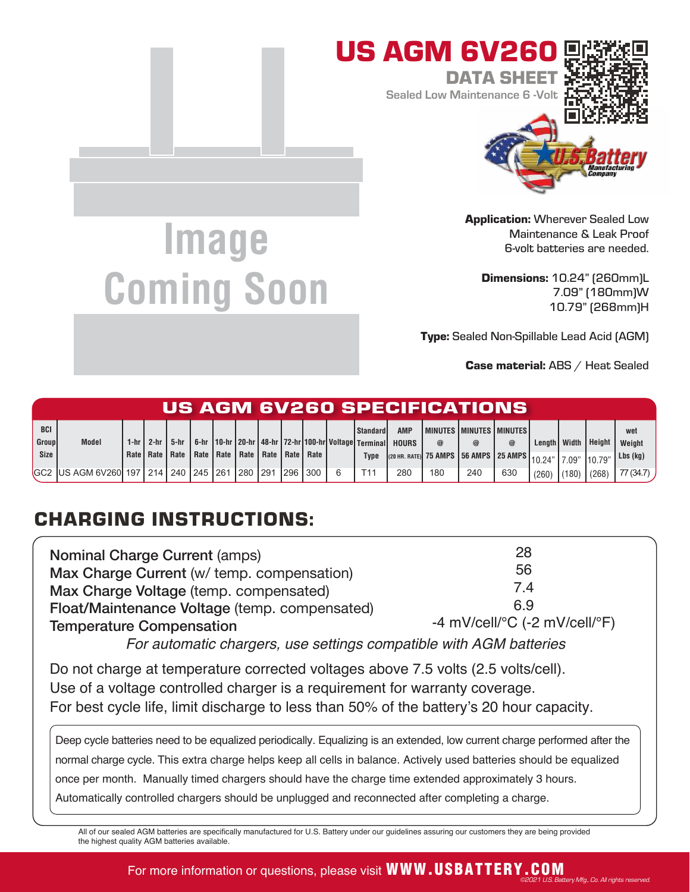

Application: Wherever Sealed Low Maintenance & Leak Proof 6-volt batteries are needed.

Dimensions: 10.24" (260mm)L 7.09" (180mm)W 10.79" (268mm)H

Type: Sealed Non-Spillable Lead Acid (AGM)

Case material: ABS / Heat Sealed

©2021 U.S. Battery Mfg., Co. All rights reserved.

| US AGM 6V260 SPECIFICATIONS |                                               |  |                   |                                  |  |  |         |                           |  |         |  |                 |                                                                        |          |                                                                          |     |                     |       |        |           |
|-----------------------------|-----------------------------------------------|--|-------------------|----------------------------------|--|--|---------|---------------------------|--|---------|--|-----------------|------------------------------------------------------------------------|----------|--------------------------------------------------------------------------|-----|---------------------|-------|--------|-----------|
| <b>BCI</b>                  |                                               |  |                   |                                  |  |  |         |                           |  |         |  | l Standard I    | <b>AMP</b>                                                             |          | I MINUTES I MINUTES I MINUTES I                                          |     |                     |       |        | wet       |
| Group                       | <b>Model</b>                                  |  | 1- $hr$   2- $hr$ | 5-hr                             |  |  |         |                           |  |         |  |                 | 6-hr 10-hr 20-hr   48-hr   72-hr   100-hr   Voltage   Terminal   HOURS | $\omega$ |                                                                          | @   | Lenath <i>Width</i> |       | Height | Weight    |
| Size                        |                                               |  |                   | Rate   Rate   Rate   Rate   Rate |  |  |         | Rate   Rate   Rate   Rate |  |         |  | <b>Type</b>     |                                                                        |          | ((20 нr. rate) 75 AMPS   56 AMPS   25 AMPS   10.24"   7.09" <sup> </sup> |     |                     |       | 10.79' | Lbs (kg)  |
|                             | GC2 IUS AGM 6V260 197   214   240   245   261 |  |                   |                                  |  |  | 280 291 |                           |  | 296 300 |  | T <sub>11</sub> | 280                                                                    | 180      | 240                                                                      | 630 | (260)               | (180) | (268)  | 77 (34.7) |

## CHARGING INSTRUCTIONS:

| <b>Nominal Charge Current (amps)</b><br>Max Charge Current (w/ temp. compensation)<br>Max Charge Voltage (temp. compensated) | 56<br>7.4                                               |
|------------------------------------------------------------------------------------------------------------------------------|---------------------------------------------------------|
| Float/Maintenance Voltage (temp. compensated)                                                                                | 69                                                      |
| <b>Temperature Compensation</b>                                                                                              | -4 mV/cell/ ${}^{\circ}$ C (-2 mV/cell/ ${}^{\circ}$ F) |

For automatic chargers, use settings compatible with AGM batteries

Do not charge at temperature corrected voltages above 7.5 volts (2.5 volts/cell). Use of a voltage controlled charger is a requirement for warranty coverage. For best cycle life, limit discharge to less than 50% of the battery's 20 hour capacity.

Deep cycle batteries need to be equalized periodically. Equalizing is an extended, low current charge performed after the normal charge cycle. This extra charge helps keep all cells in balance. Actively used batteries should be equalized once per month. Manually timed chargers should have the charge time extended approximately 3 hours. Automatically controlled chargers should be unplugged and reconnected after completing a charge.

All of our sealed AGM batteries are specifically manufactured for U.S. Battery under our guidelines assuring our customers they are being provided the highest quality AGM batteries available.

## **Image Coming Soon**

For more information or questions, please visit **WWW.USBATTERY.COM**